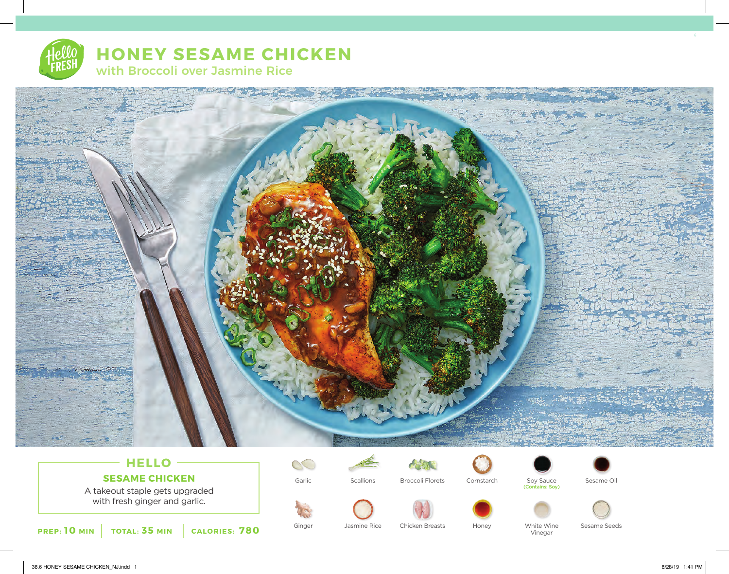# **HONEY SESAME CHICKEN** with Broccoli over Jasmine Rice



## **HELLO SESAME CHICKEN**

A takeout staple gets upgraded with fresh ginger and garlic.

**PREP: 10 MIN TOTAL: 35 MIN CALORIES: 780**

 $\infty$ 



Jasmine Rice





Garlic Broccoli Florets Cornstarch Soy Sauce Sesame Oil (Contains: Soy)





Ginger Chicken Breasts Honey White Wine Sesame Seeds

Vinegar